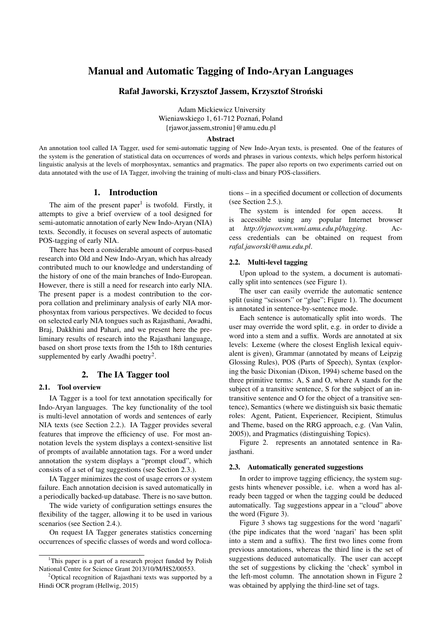# Manual and Automatic Tagging of Indo-Aryan Languages

# Rafał Jaworski, Krzysztof Jassem, Krzysztof Stronski ´

Adam Mickiewicz University Wieniawskiego 1, 61-712 Poznań, Poland {rjawor,jassem,stroniu}@amu.edu.pl

#### Abstract

An annotation tool called IA Tagger, used for semi-automatic tagging of New Indo-Aryan texts, is presented. One of the features of the system is the generation of statistical data on occurrences of words and phrases in various contexts, which helps perform historical linguistic analysis at the levels of morphosyntax, semantics and pragmatics. The paper also reports on two experiments carried out on data annotated with the use of IA Tagger, involving the training of multi-class and binary POS-classifiers.

# 1. Introduction

The aim of the present paper<sup>1</sup> is twofold. Firstly, it attempts to give a brief overview of a tool designed for semi-automatic annotation of early New Indo-Aryan (NIA) texts. Secondly, it focuses on several aspects of automatic POS-tagging of early NIA.

There has been a considerable amount of corpus-based research into Old and New Indo-Aryan, which has already contributed much to our knowledge and understanding of the history of one of the main branches of Indo-European. However, there is still a need for research into early NIA. The present paper is a modest contribution to the corpora collation and preliminary analysis of early NIA morphosyntax from various perspectives. We decided to focus on selected early NIA tongues such as Rajasthani, Awadhi, Braj, Dakkhini and Pahari, and we present here the preliminary results of research into the Rajasthani language, based on short prose texts from the 15th to 18th centuries supplemented by early Awadhi poetry<sup>2</sup>.

# 2. The IA Tagger tool

### 2.1. Tool overview

IA Tagger is a tool for text annotation specifically for Indo-Aryan languages. The key functionality of the tool is multi-level annotation of words and sentences of early NIA texts (see Section 2.2.). IA Tagger provides several features that improve the efficiency of use. For most annotation levels the system displays a context-sensitive list of prompts of available annotation tags. For a word under annotation the system displays a "prompt cloud", which consists of a set of tag suggestions (see Section 2.3.).

IA Tagger minimizes the cost of usage errors or system failure. Each annotation decision is saved automatically in a periodically backed-up database. There is no save button.

The wide variety of configuration settings ensures the flexibility of the tagger, allowing it to be used in various scenarios (see Section 2.4.).

On request IA Tagger generates statistics concerning occurrences of specific classes of words and word collocations – in a specified document or collection of documents (see Section 2.5.).

The system is intended for open access. It is accessible using any popular Internet browser at *http://rjawor.vm.wmi.amu.edu.pl/tagging*. Access credentials can be obtained on request from *rafal.jaworski@amu.edu.pl*.

### 2.2. Multi-level tagging

Upon upload to the system, a document is automatically split into sentences (see Figure 1).

The user can easily override the automatic sentence split (using "scissors" or "glue"; Figure 1). The document is annotated in sentence-by-sentence mode.

Each sentence is automatically split into words. The user may override the word split, e.g. in order to divide a word into a stem and a suffix. Words are annotated at six levels: Lexeme (where the closest English lexical equivalent is given), Grammar (annotated by means of Leipzig Glossing Rules), POS (Parts of Speech), Syntax (exploring the basic Dixonian (Dixon, 1994) scheme based on the three primitive terms: A, S and O, where A stands for the subject of a transitive sentence, S for the subject of an intransitive sentence and O for the object of a transitive sentence), Semantics (where we distinguish six basic thematic roles: Agent, Patient, Experiencer, Recipient, Stimulus and Theme, based on the RRG approach, e.g. (Van Valin, 2005)), and Pragmatics (distinguishing Topics).

Figure 2. represents an annotated sentence in Rajasthani.

### 2.3. Automatically generated suggestions

In order to improve tagging efficiency, the system suggests hints whenever possible, i.e. when a word has already been tagged or when the tagging could be deduced automatically. Tag suggestions appear in a "cloud" above the word (Figure 3).

Figure 3 shows tag suggestions for the word 'nagarli' (the pipe indicates that the word 'nagari' has been split into a stem and a suffix). The first two lines come from previous annotations, whereas the third line is the set of suggestions deduced automatically. The user can accept the set of suggestions by clicking the 'check' symbol in the left-most column. The annotation shown in Figure 2 was obtained by applying the third-line set of tags.

<sup>&</sup>lt;sup>1</sup>This paper is a part of a research project funded by Polish National Centre for Science Grant 2013/10/M/HS2/00553.

<sup>&</sup>lt;sup>2</sup>Optical recognition of Rajasthani texts was supported by a Hindi OCR program (Hellwig, 2015)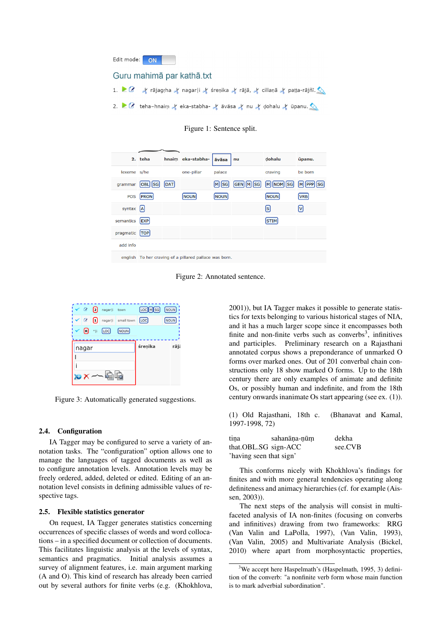| Edit mode: ON                                                                                                              |  |
|----------------------------------------------------------------------------------------------------------------------------|--|
| Guru mahimā par kathā.txt                                                                                                  |  |
| 1. $\bullet$ $\bullet$ $\star$ rājagrha $\star$ nagar i $\star$ śrenika $\star$ rājā, $\star$ cillanā $\star$ patta-rājñī. |  |
| 2. $\bullet$ deha-hnaim of eka-stabha- of avasa of nu of dohalu of upanu.                                                  |  |

Figure 1: Sentence split.

|             | 2. teha     |     | hnaim eka-stabha-                                      | <b>āvāsa</b> | nu                 | dohalu       | ūpanu.             |
|-------------|-------------|-----|--------------------------------------------------------|--------------|--------------------|--------------|--------------------|
| lexeme s/he |             |     | one-pillar                                             | palace       |                    | craving      | be born            |
| grammar     | OBL SG      | DAT |                                                        | Isg          | MISG<br><b>GEN</b> | NOM SG<br>MI | <b>SG</b><br>M PPP |
| <b>POS</b>  | <b>PRON</b> |     | <b>NOUN</b>                                            | <b>NOUN</b>  |                    | <b>NOUN</b>  | <b>VRB</b>         |
| syntax  A   |             |     |                                                        |              |                    | [s]          | l٧l                |
| semantics   | <b>EXP</b>  |     |                                                        |              |                    | <b>STIM</b>  |                    |
| pragmatic   | <b>TOP</b>  |     |                                                        |              |                    |              |                    |
| add info    |             |     |                                                        |              |                    |              |                    |
|             |             |     | english To her craving of a pillared pallace was born. |              |                    |              |                    |

Figure 2: Annotated sentence.



Figure 3: Automatically generated suggestions.

### 2.4. Configuration

IA Tagger may be configured to serve a variety of annotation tasks. The "configuration" option allows one to manage the languages of tagged documents as well as to configure annotation levels. Annotation levels may be freely ordered, added, deleted or edited. Editing of an annotation level consists in defining admissible values of respective tags.

### 2.5. Flexible statistics generator

On request, IA Tagger generates statistics concerning occurrences of specific classes of words and word collocations – in a specified document or collection of documents. This facilitates linguistic analysis at the levels of syntax, semantics and pragmatics. Initial analysis assumes a survey of alignment features, i.e. main argument marking (A and O). This kind of research has already been carried out by several authors for finite verbs (e.g. (Khokhlova, 2001)), but IA Tagger makes it possible to generate statistics for texts belonging to various historical stages of NIA, and it has a much larger scope since it encompasses both finite and non-finite verbs such as converbs<sup>3</sup>, infinitives and participles. Preliminary research on a Rajasthani annotated corpus shows a preponderance of unmarked O forms over marked ones. Out of 201 converbal chain constructions only 18 show marked O forms. Up to the 18th century there are only examples of animate and definite Os, or possibly human and indefinite, and from the 18th century onwards inanimate Os start appearing (see ex. (1)).

(1) Old Rajasthani, 18th c. (Bhanavat and Kamal, 1997-1998, 72)

| tina                    | sahanāna-nūm | dekha   |
|-------------------------|--------------|---------|
| that.OBL.SG sign-ACC    |              | see.CVB |
| 'having seen that sign' |              |         |

This conforms nicely with Khokhlova's findings for finites and with more general tendencies operating along definiteness and animacy hierarchies (cf. for example (Aissen, 2003)).

The next steps of the analysis will consist in multifaceted analysis of IA non-finites (focusing on converbs and infinitives) drawing from two frameworks: RRG (Van Valin and LaPolla, 1997), (Van Valin, 1993), (Van Valin, 2005) and Multivariate Analysis (Bickel, 2010) where apart from morphosyntactic properties,

 $3$ We accept here Haspelmath's (Haspelmath, 1995, 3) definition of the converb: "a nonfinite verb form whose main function is to mark adverbial subordination".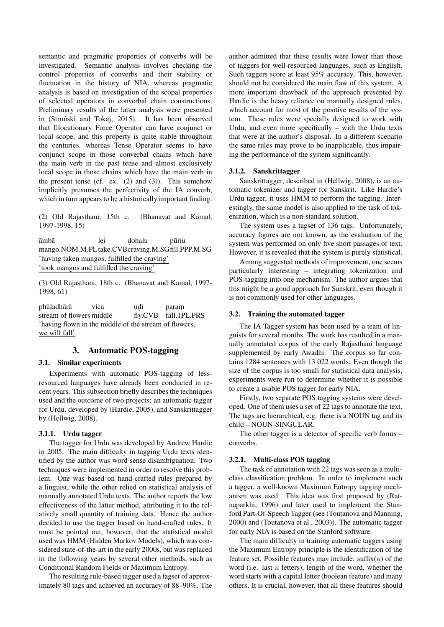semantic and pragmatic properties of converbs will be investigated. Semantic analysis involves checking the control properties of converbs and their stability or fluctuation in the history of NIA, whereas pragmatic analysis is based on investigation of the scopal properties of selected operators in converbal chain constructions. Preliminary results of the latter analysis were presented in (Stronski and Tokaj, 2015). It has been observed that Illocutionary Force Operator can have conjunct or local scope, and this property is quite stable throughout the centuries, whereas Tense Operator seems to have conjunct scope in those converbal chains which have the main verb in the past tense and almost exclusively local scope in those chains which have the main verb in the present tense (cf. ex.  $(2)$  and  $(3)$ ). This somehow implicitly presumes the perfectivity of the IA converb, which in turn appears to be a historically important finding.

(2) Old Rajasthani, 15th c. (Bhanavat and Kamal, 1997-1998, 15)

 $\bar{a}$ mbā leī dohalu pūriu mango.NOM.M.PLtake.CVBcraving.M.SGfill.PPP.M.SG 'having taken mangos, fulfilled the craving' 'took mangos and fulfilled the craving'

(3) Old Rajasthani, 18th c. (Bhanavat and Kamal, 1997- 1998, 61)

phūladhārā vica udi<br>stream of flowers middle fly. param fly.CVB fall.1PL.PRS 'having flown in the middle of the stream of flowers, we will fall'

# 3. Automatic POS-tagging

### 3.1. Similar experiments

Experiments with automatic POS-tagging of lessresourced languages have already been conducted in recent years. This subsection briefly describes the techniques used and the outcome of two projects: an automatic tagger for Urdu, developed by (Hardie, 2005), and Sanskrittagger by (Hellwig, 2008).

#### 3.1.1. Urdu tagger

The tagger for Urdu was developed by Andrew Hardie in 2005. The main difficulty in tagging Urdu texts identified by the author was word sense disambiguation. Two techniques were implemented in order to resolve this problem. One was based on hand-crafted rules prepared by a linguist, while the other relied on statistical analysis of manually annotated Urdu texts. The author reports the low effectiveness of the latter method, attributing it to the relatively small quantity of training data. Hence the author decided to use the tagger based on hand-crafted rules. It must be pointed out, however, that the statistical model used was HMM (Hidden Markov Models), which was considered state-of-the-art in the early 2000s, but was replaced in the following years by several other methods, such as Conditional Random Fields or Maximum Entropy.

The resulting rule-based tagger used a tagset of approximately 80 tags and achieved an accuracy of 88–90%. The author admitted that these results were lower than those of taggers for well-resourced languages, such as English. Such taggers score at least 95% accuracy. This, however, should not be considered the main flaw of this system. A more important drawback of the approach presented by Hardie is the heavy reliance on manually designed rules, which account for most of the positive results of the system. These rules were specially designed to work with Urdu, and even more specifically – with the Urdu texts that were at the author's disposal. In a different scenario the same rules may prove to be inapplicable, thus impairing the performance of the system significantly.

### 3.1.2. Sanskrittagger

Sanskrittagger, described in (Hellwig, 2008), is an automatic tokenizer and tagger for Sanskrit. Like Hardie's Urdu tagger, it uses HMM to perform the tagging. Interestingly, the same model is also applied to the task of tokenization, which is a non-standard solution.

The system uses a tagset of 136 tags. Unfortunately, accuracy figures are not known, as the evaluation of the system was performed on only five short passages of text. However, it is revealed that the system is purely statistical.

Among suggested methods of improvement, one seems particularly interesting – integrating tokenization and POS-tagging into one mechanism. The author argues that this might be a good approach for Sanskrit, even though it is not commonly used for other languages.

## 3.2. Training the automated tagger

The IA Tagger system has been used by a team of linguists for several months. The work has resulted in a manually annotated corpus of the early Rajasthani language supplemented by early Awadhi. The corpus so far contains 1284 sentences with 13 022 words. Even though the size of the corpus is too small for statistical data analysis, experiments were run to determine whether it is possible to create a usable POS tagger for early NIA.

Firstly, two separate POS tagging systems were developed. One of them uses a set of 22 tags to annotate the text. The tags are hierarchical, e.g. there is a NOUN tag and its child – NOUN-SINGULAR.

The other tagger is a detector of specific verb forms – converbs.

## 3.2.1. Multi-class POS tagging

The task of annotation with 22 tags was seen as a multiclass classification problem. In order to implement such a tagger, a well-known Maximum Entropy tagging mechanism was used. This idea was first proposed by (Ratnaparkhi, 1996) and later used to implement the Stanford Part-Of-Speech Tagger (see (Toutanova and Manning, 2000) and (Toutanova et al., 2003)). The automatic tagger for early NIA is based on the Stanford software.

The main difficulty in training automatic taggers using the Maximum Entropy principle is the identification of the feature set. Possible features may include:  $\text{suffix}(n)$  of the word (i.e. last  $n$  letters), length of the word, whether the word starts with a capital letter (boolean feature) and many others. It is crucial, however, that all these features should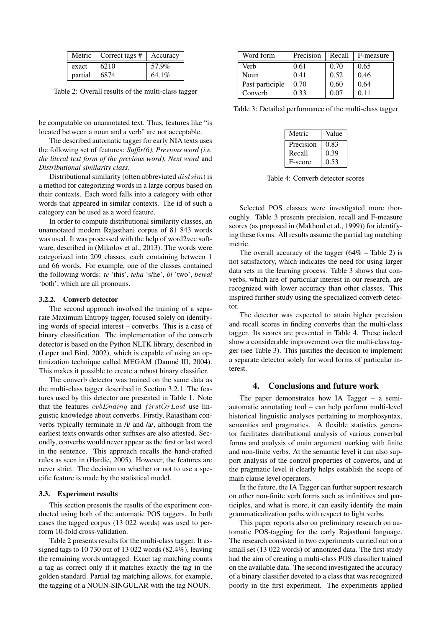|         | Metric $\vert$ Correct tags # $\vert$ Accuracy |          |
|---------|------------------------------------------------|----------|
| exact   | 6210                                           | 57.9%    |
| partial | 6874                                           | $64.1\%$ |

Table 2: Overall results of the multi-class tagger

be computable on unannotated text. Thus, features like "is located between a noun and a verb" are not acceptable.

The described automatic tagger for early NIA texts uses the following set of features: *Suffix(6)*, *Previous word (i.e. the literal text form of the previous word)*, *Next word* and *Distributional similarity class*.

Distributional similarity (often abbreviated  $distsim$ ) is a method for categorizing words in a large corpus based on their contexts. Each word falls into a category with other words that appeared in similar contexts. The id of such a category can be used as a word feature.

In order to compute distributional similarity classes, an unannotated modern Rajasthani corpus of 81 843 words was used. It was processed with the help of word2vec software, described in (Mikolov et al., 2013). The words were categorized into 209 classes, each containing between 1 and 66 words. For example, one of the classes contained the following words: *te* 'this', *teha* 's/he', *bi* 'two', *bewai* 'both', which are all pronouns.

### 3.2.2. Converb detector

The second approach involved the training of a separate Maximum Entropy tagger, focused solely on identifying words of special interest – converbs. This is a case of binary classification. The implementation of the converb detector is based on the Python NLTK library, described in (Loper and Bird, 2002), which is capable of using an optimization technique called MEGAM (Daumé III, 2004). This makes it possible to create a robust binary classifier.

The converb detector was trained on the same data as the multi-class tagger described in Section 3.2.1. The features used by this detector are presented in Table 1. Note that the features  $cvbEnding$  and  $firstOrLast$  use linguistic knowledge about converbs. Firstly, Rajasthani converbs typically terminate in /i/ and /a/, although from the earliest texts onwards other suffixes are also attested. Secondly, converbs would never appear as the first or last word in the sentence. This approach recalls the hand-crafted rules as seen in (Hardie, 2005). However, the features are never strict. The decision on whether or not to use a specific feature is made by the statistical model.

### 3.3. Experiment results

This section presents the results of the experiment conducted using both of the automatic POS taggers. In both cases the tagged corpus (13 022 words) was used to perform 10-fold cross-validation.

Table 2 presents results for the multi-class tagger. It assigned tags to 10 730 out of 13 022 words (82.4%), leaving the remaining words untagged. Exact tag matching counts a tag as correct only if it matches exactly the tag in the golden standard. Partial tag matching allows, for example, the tagging of a NOUN-SINGULAR with the tag NOUN.

| Word form       | Precision | Recall | F-measure |
|-----------------|-----------|--------|-----------|
| Verb            | 0.61      | 0.70   | 0.65      |
| Noun            | 0.41      | 0.52   | 0.46      |
| Past participle | 0.70      | 0.60   | 0.64      |
| Converb         | 0.33      | 0.07   | O 11      |

Table 3: Detailed performance of the multi-class tagger

| Metric    | Value |
|-----------|-------|
| Precision | 0.83  |
| Recall    | 0.39  |
| F-score   | 0.53  |

Table 4: Converb detector scores

Selected POS classes were investigated more thoroughly. Table 3 presents precision, recall and F-measure scores (as proposed in (Makhoul et al., 1999)) for identifying these forms. All results assume the partial tag matching metric.

The overall accuracy of the tagger  $(64\% - \text{Table 2})$  is not satisfactory, which indicates the need for using larger data sets in the learning process. Table 3 shows that converbs, which are of particular interest in our research, are recognized with lower accuracy than other classes. This inspired further study using the specialized converb detector.

The detector was expected to attain higher precision and recall scores in finding converbs than the multi-class tagger. Its scores are presented in Table 4. These indeed show a considerable improvement over the multi-class tagger (see Table 3). This justifies the decision to implement a separate detector solely for word forms of particular interest.

### 4. Conclusions and future work

The paper demonstrates how IA Tagger – a semiautomatic annotating tool – can help perform multi-level historical linguistic analyses pertaining to morphosyntax, semantics and pragmatics. A flexible statistics generator facilitates distributional analysis of various converbal forms and analysis of main argument marking with finite and non-finite verbs. At the semantic level it can also support analysis of the control properties of converbs, and at the pragmatic level it clearly helps establish the scope of main clause level operators.

In the future, the IA Tagger can further support research on other non-finite verb forms such as infinitives and participles, and what is more, it can easily identify the main grammaticalization paths with respect to light verbs.

This paper reports also on preliminary research on automatic POS-tagging for the early Rajasthani language. The research consisted in two experiments carried out on a small set (13 022 words) of annotated data. The first study had the aim of creating a multi-class POS classifier trained on the available data. The second investigated the accuracy of a binary classifier devoted to a class that was recognized poorly in the first experiment. The experiments applied